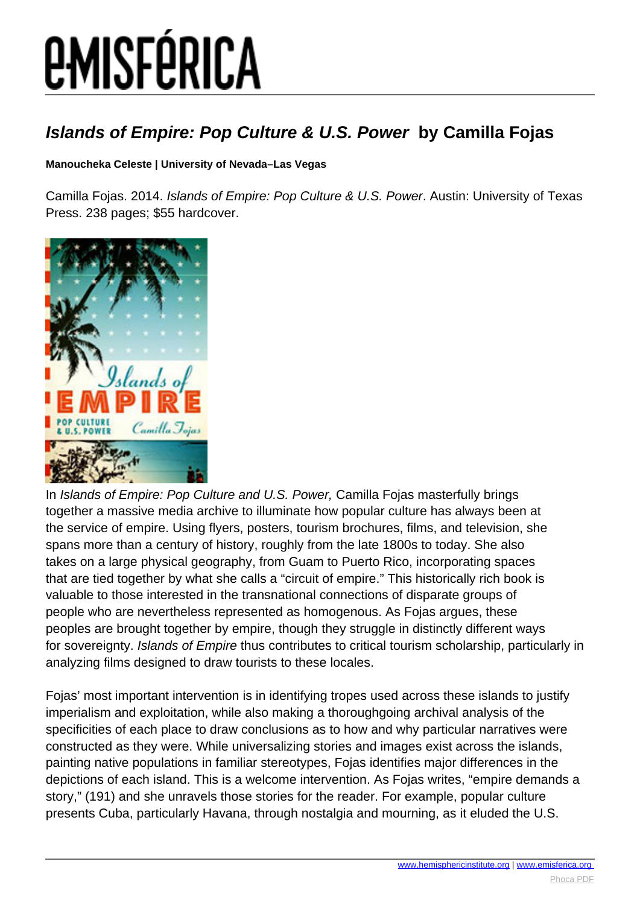# *EMISFÉRICA*

### **Islands of Empire: Pop Culture & U.S. Power by Camilla Fojas**

#### **Manoucheka Celeste | University of Nevada–Las Vegas**

Camilla Fojas. 2014. Islands of Empire: Pop Culture & U.S. Power. Austin: University of Texas Press. 238 pages; \$55 hardcover.



In Islands of Empire: Pop Culture and U.S. Power, Camilla Fojas masterfully brings together a massive media archive to illuminate how popular culture has always been at the service of empire. Using flyers, posters, tourism brochures, films, and television, she spans more than a century of history, roughly from the late 1800s to today. She also takes on a large physical geography, from Guam to Puerto Rico, incorporating spaces that are tied together by what she calls a "circuit of empire." This historically rich book is valuable to those interested in the transnational connections of disparate groups of people who are nevertheless represented as homogenous. As Fojas argues, these peoples are brought together by empire, though they struggle in distinctly different ways for sovereignty. Islands of Empire thus contributes to critical tourism scholarship, particularly in analyzing films designed to draw tourists to these locales.

Fojas' most important intervention is in identifying tropes used across these islands to justify imperialism and exploitation, while also making a thoroughgoing archival analysis of the specificities of each place to draw conclusions as to how and why particular narratives were constructed as they were. While universalizing stories and images exist across the islands, painting native populations in familiar stereotypes, Fojas identifies major differences in the depictions of each island. This is a welcome intervention. As Fojas writes, "empire demands a story," (191) and she unravels those stories for the reader. For example, popular culture presents Cuba, particularly Havana, through nostalgia and mourning, as it eluded the U.S.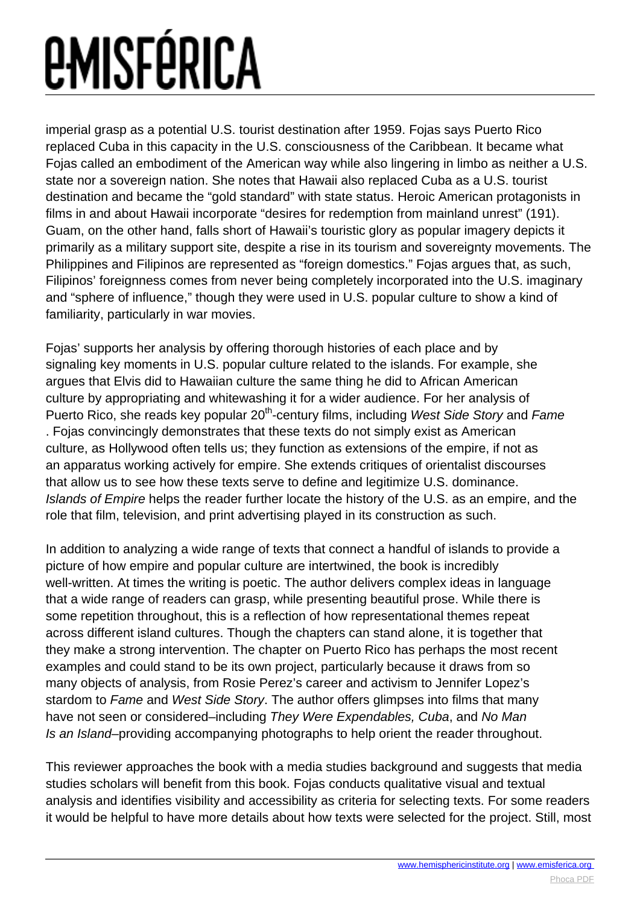# *<u>EMISFÉRICA</u>*

imperial grasp as a potential U.S. tourist destination after 1959. Fojas says Puerto Rico replaced Cuba in this capacity in the U.S. consciousness of the Caribbean. It became what Fojas called an embodiment of the American way while also lingering in limbo as neither a U.S. state nor a sovereign nation. She notes that Hawaii also replaced Cuba as a U.S. tourist destination and became the "gold standard" with state status. Heroic American protagonists in films in and about Hawaii incorporate "desires for redemption from mainland unrest" (191). Guam, on the other hand, falls short of Hawaii's touristic glory as popular imagery depicts it primarily as a military support site, despite a rise in its tourism and sovereignty movements. The Philippines and Filipinos are represented as "foreign domestics." Fojas argues that, as such, Filipinos' foreignness comes from never being completely incorporated into the U.S. imaginary and "sphere of influence," though they were used in U.S. popular culture to show a kind of familiarity, particularly in war movies.

Fojas' supports her analysis by offering thorough histories of each place and by signaling key moments in U.S. popular culture related to the islands. For example, she argues that Elvis did to Hawaiian culture the same thing he did to African American culture by appropriating and whitewashing it for a wider audience. For her analysis of Puerto Rico, she reads key popular 20<sup>th</sup>-century films, including West Side Story and Fame . Fojas convincingly demonstrates that these texts do not simply exist as American culture, as Hollywood often tells us; they function as extensions of the empire, if not as an apparatus working actively for empire. She extends critiques of orientalist discourses that allow us to see how these texts serve to define and legitimize U.S. dominance. Islands of Empire helps the reader further locate the history of the U.S. as an empire, and the role that film, television, and print advertising played in its construction as such.

In addition to analyzing a wide range of texts that connect a handful of islands to provide a picture of how empire and popular culture are intertwined, the book is incredibly well-written. At times the writing is poetic. The author delivers complex ideas in language that a wide range of readers can grasp, while presenting beautiful prose. While there is some repetition throughout, this is a reflection of how representational themes repeat across different island cultures. Though the chapters can stand alone, it is together that they make a strong intervention. The chapter on Puerto Rico has perhaps the most recent examples and could stand to be its own project, particularly because it draws from so many objects of analysis, from Rosie Perez's career and activism to Jennifer Lopez's stardom to Fame and West Side Story. The author offers glimpses into films that many have not seen or considered–including They Were Expendables, Cuba, and No Man Is an Island–providing accompanying photographs to help orient the reader throughout.

This reviewer approaches the book with a media studies background and suggests that media studies scholars will benefit from this book. Fojas conducts qualitative visual and textual analysis and identifies visibility and accessibility as criteria for selecting texts. For some readers it would be helpful to have more details about how texts were selected for the project. Still, most